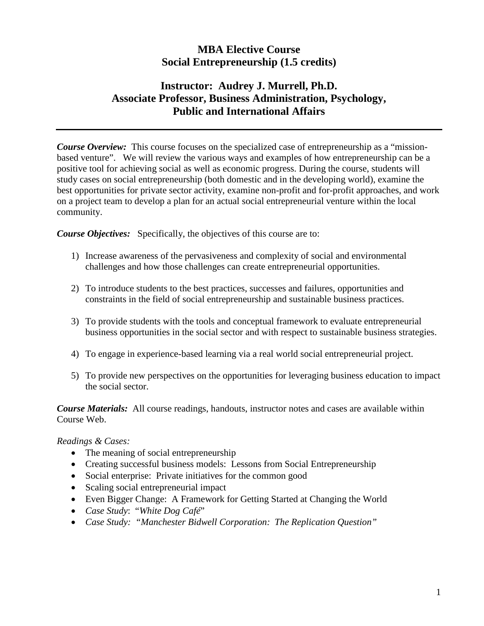# **MBA Elective Course Social Entrepreneurship (1.5 credits)**

# **Instructor: Audrey J. Murrell, Ph.D. Associate Professor, Business Administration, Psychology, Public and International Affairs**

*Course Overview:* This course focuses on the specialized case of entrepreneurship as a "missionbased venture". We will review the various ways and examples of how entrepreneurship can be a positive tool for achieving social as well as economic progress. During the course, students will study cases on social entrepreneurship (both domestic and in the developing world), examine the best opportunities for private sector activity, examine non-profit and for-profit approaches, and work on a project team to develop a plan for an actual social entrepreneurial venture within the local community.

*Course Objectives:* Specifically, the objectives of this course are to:

- 1) Increase awareness of the pervasiveness and complexity of social and environmental challenges and how those challenges can create entrepreneurial opportunities.
- 2) To introduce students to the best practices, successes and failures, opportunities and constraints in the field of social entrepreneurship and sustainable business practices.
- 3) To provide students with the tools and conceptual framework to evaluate entrepreneurial business opportunities in the social sector and with respect to sustainable business strategies.
- 4) To engage in experience-based learning via a real world social entrepreneurial project.
- 5) To provide new perspectives on the opportunities for leveraging business education to impact the social sector.

*Course Materials:* All course readings, handouts, instructor notes and cases are available within Course Web.

*Readings & Cases:*

- The meaning of social entrepreneurship
- Creating successful business models: Lessons from Social Entrepreneurship
- Social enterprise: Private initiatives for the common good
- Scaling social entrepreneurial impact
- Even Bigger Change: A Framework for Getting Started at Changing the World
- *Case Study*: "*White Dog Café*"
- *Case Study: "Manchester Bidwell Corporation: The Replication Question"*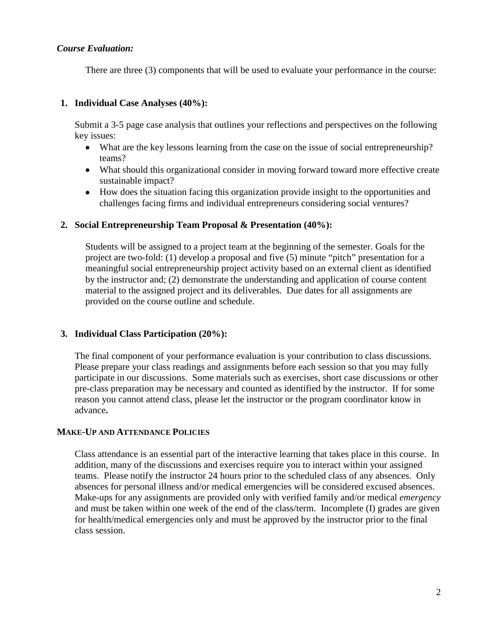#### *Course Evaluation:*

There are three (3) components that will be used to evaluate your performance in the course:

#### **1. Individual Case Analyses (40%):**

Submit a 3-5 page case analysis that outlines your reflections and perspectives on the following key issues:

- What are the key lessons learning from the case on the issue of social entrepreneurship? teams?
- What should this organizational consider in moving forward toward more effective create sustainable impact?
- How does the situation facing this organization provide insight to the opportunities and challenges facing firms and individual entrepreneurs considering social ventures?

#### **2. Social Entrepreneurship Team Proposal & Presentation (40%):**

Students will be assigned to a project team at the beginning of the semester. Goals for the project are two-fold: (1) develop a proposal and five (5) minute "pitch" presentation for a meaningful social entrepreneurship project activity based on an external client as identified by the instructor and; (2) demonstrate the understanding and application of course content material to the assigned project and its deliverables. Due dates for all assignments are provided on the course outline and schedule.

# **3. Individual Class Participation (20%):**

The final component of your performance evaluation is your contribution to class discussions. Please prepare your class readings and assignments before each session so that you may fully participate in our discussions. Some materials such as exercises, short case discussions or other pre-class preparation may be necessary and counted as identified by the instructor. If for some reason you cannot attend class, please let the instructor or the program coordinator know in advance**.**

#### **MAKE-UP AND ATTENDANCE POLICIES**

Class attendance is an essential part of the interactive learning that takes place in this course. In addition, many of the discussions and exercises require you to interact within your assigned teams. Please notify the instructor 24 hours prior to the scheduled class of any absences. Only absences for personal illness and/or medical emergencies will be considered excused absences. Make-ups for any assignments are provided only with verified family and/or medical *emergency* and must be taken within one week of the end of the class/term. Incomplete (I) grades are given for health/medical emergencies only and must be approved by the instructor prior to the final class session.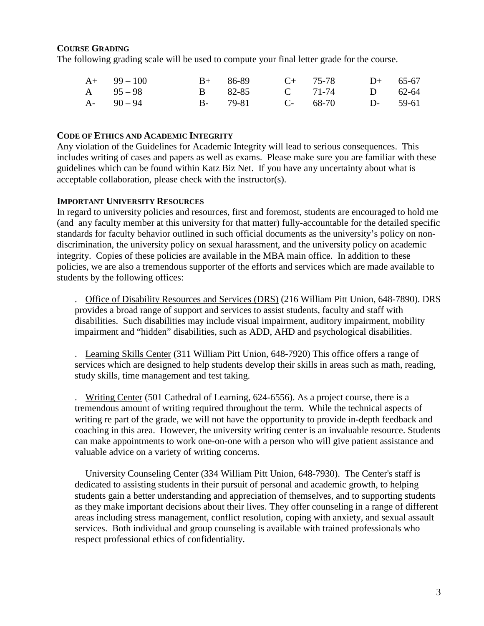## **COURSE GRADING**

The following grading scale will be used to compute your final letter grade for the course.

| $A+ 99-100$   |  | B+ 86-89 C+ 75-78 D+ 65-67 |  |
|---------------|--|----------------------------|--|
| A $95-98$     |  | B 82-85 C 71-74 D 62-64    |  |
| $A - 90 - 94$ |  | B- 79-81 C- 68-70 D- 59-61 |  |

#### **CODE OF ETHICS AND ACADEMIC INTEGRITY**

Any violation of the Guidelines for Academic Integrity will lead to serious consequences. This includes writing of cases and papers as well as exams. Please make sure you are familiar with these guidelines which can be found within Katz Biz Net. If you have any uncertainty about what is acceptable collaboration, please check with the instructor(s).

#### **IMPORTANT UNIVERSITY RESOURCES**

In regard to university policies and resources, first and foremost, students are encouraged to hold me (and any faculty member at this university for that matter) fully-accountable for the detailed specific standards for faculty behavior outlined in such official documents as the university's policy on nondiscrimination, the university policy on sexual harassment, and the university policy on academic integrity. Copies of these policies are available in the MBA main office. In addition to these policies, we are also a tremendous supporter of the efforts and services which are made available to students by the following offices:

. Office of Disability Resources and Services (DRS) (216 William Pitt Union, 648-7890). DRS provides a broad range of support and services to assist students, faculty and staff with disabilities. Such disabilities may include visual impairment, auditory impairment, mobility impairment and "hidden" disabilities, such as ADD, AHD and psychological disabilities.

. Learning Skills Center (311 William Pitt Union, 648-7920) This office offers a range of services which are designed to help students develop their skills in areas such as math, reading, study skills, time management and test taking.

. Writing Center (501 Cathedral of Learning, 624-6556). As a project course, there is a tremendous amount of writing required throughout the term. While the technical aspects of writing re part of the grade, we will not have the opportunity to provide in-depth feedback and coaching in this area. However, the university writing center is an invaluable resource. Students can make appointments to work one-on-one with a person who will give patient assistance and valuable advice on a variety of writing concerns.

University Counseling Center (334 William Pitt Union, 648-7930). The Center's staff is dedicated to assisting students in their pursuit of personal and academic growth, to helping students gain a better understanding and appreciation of themselves, and to supporting students as they make important decisions about their lives. They offer counseling in a range of different areas including stress management, conflict resolution, coping with anxiety, and sexual assault services. Both individual and group counseling is available with trained professionals who respect professional ethics of confidentiality.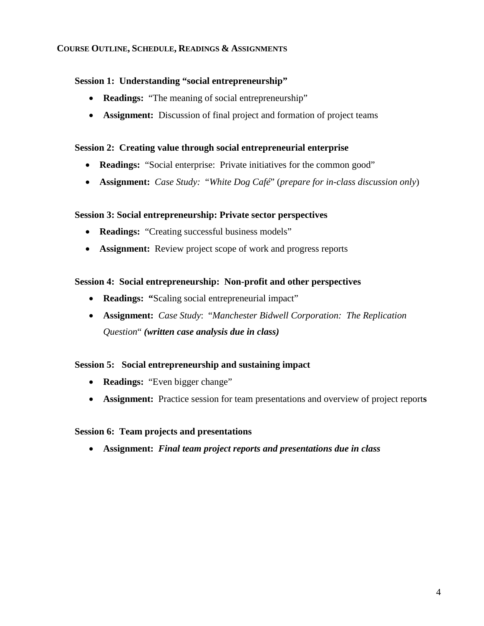# **COURSE OUTLINE, SCHEDULE, READINGS & ASSIGNMENTS**

## **Session 1: Understanding "social entrepreneurship"**

- **Readings:** "The meaning of social entrepreneurship"
- **Assignment:** Discussion of final project and formation of project teams

## **Session 2: Creating value through social entrepreneurial enterprise**

- **Readings:** "Social enterprise: Private initiatives for the common good"
- **Assignment:** *Case Study:* "*White Dog Café*" (*prepare for in-class discussion only*)

## **Session 3: Social entrepreneurship: Private sector perspectives**

- **Readings:** "Creating successful business models"
- **Assignment:** Review project scope of work and progress reports

## **Session 4: Social entrepreneurship: Non-profit and other perspectives**

- **Readings: "**Scaling social entrepreneurial impact"
- **Assignment:** *Case Study*: "*Manchester Bidwell Corporation: The Replication Question*" *(written case analysis due in class)*

#### **Session 5: Social entrepreneurship and sustaining impact**

- **Readings:** "Even bigger change"
- **Assignment:** Practice session for team presentations and overview of project report**s**

#### **Session 6: Team projects and presentations**

• **Assignment:** *Final team project reports and presentations due in class*